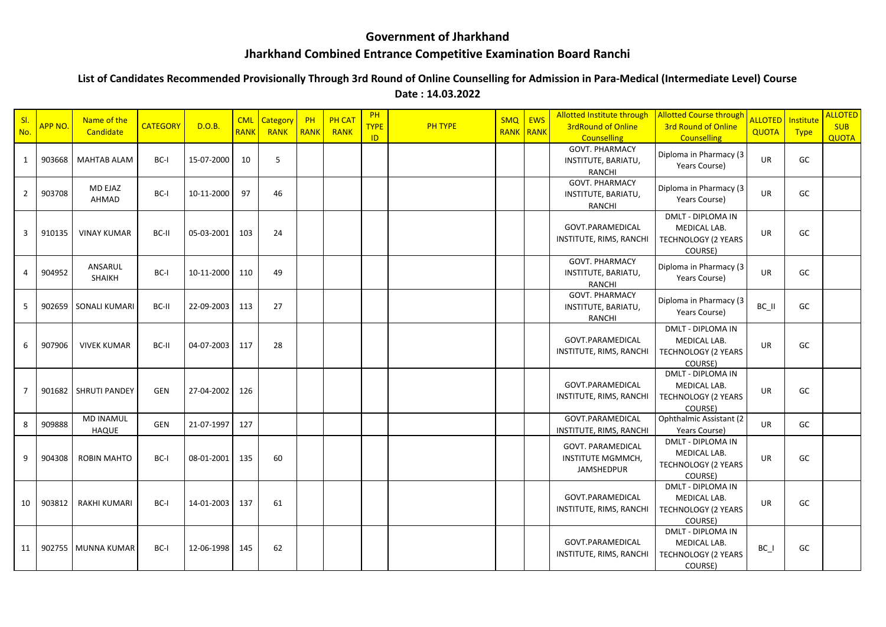## **Government of Jharkhand**

## **Jharkhand Combined Entrance Competitive Examination Board Ranchi**

## **List of Candidates Recommended Provisionally Through 3rd Round of Online Counselling for Admission in Para-Medical (Intermediate Level) Course**

**Date : 14.03.2022**

| SI.<br>No.     | APP NO. | Name of the<br>Candidate         | <b>CATEGORY</b> | D.O.B.     | <b>CML</b><br><b>RANK</b> | Category<br>RANK | PH<br><b>RANK</b> | <b>PH CAT</b><br>RANK | PH<br><b>TYPE</b><br>ID | <b>PH TYPE</b> | <b>SMQ</b><br><b>RANK</b> | EWS<br>RANK | Allotted Institute through<br><b>3rdRound of Online</b><br><b>Counselling</b> | <b>Allotted Course through</b><br>3rd Round of Online<br><b>Counselling</b>       | ALLOTED   Institute<br><b>QUOTA</b> | <b>Type</b> | <b>ALLOTED</b><br><b>SUB</b><br><b>QUOTA</b> |
|----------------|---------|----------------------------------|-----------------|------------|---------------------------|------------------|-------------------|-----------------------|-------------------------|----------------|---------------------------|-------------|-------------------------------------------------------------------------------|-----------------------------------------------------------------------------------|-------------------------------------|-------------|----------------------------------------------|
| 1              | 903668  | <b>MAHTAB ALAM</b>               | BC-I            | 15-07-2000 | 10                        | 5                |                   |                       |                         |                |                           |             | <b>GOVT. PHARMACY</b><br>INSTITUTE, BARIATU,<br><b>RANCHI</b>                 | Diploma in Pharmacy (3<br>Years Course)                                           | UR                                  | GC          |                                              |
| $\overline{2}$ | 903708  | MD EJAZ<br>AHMAD                 | BC-I            | 10-11-2000 | 97                        | 46               |                   |                       |                         |                |                           |             | <b>GOVT. PHARMACY</b><br>INSTITUTE, BARIATU,<br><b>RANCHI</b>                 | Diploma in Pharmacy (3<br>Years Course)                                           | UR                                  | GC          |                                              |
| 3              | 910135  | <b>VINAY KUMAR</b>               | BC-II           | 05-03-2001 | 103                       | 24               |                   |                       |                         |                |                           |             | GOVT.PARAMEDICAL<br>INSTITUTE, RIMS, RANCHI                                   | <b>DMLT - DIPLOMA IN</b><br>MEDICAL LAB.<br>TECHNOLOGY (2 YEARS<br>COURSE)        | <b>UR</b>                           | GC          |                                              |
| 4              | 904952  | ANSARUL<br><b>SHAIKH</b>         | BC-I            | 10-11-2000 | 110                       | 49               |                   |                       |                         |                |                           |             | <b>GOVT. PHARMACY</b><br>INSTITUTE, BARIATU,<br><b>RANCHI</b>                 | Diploma in Pharmacy (3<br>Years Course)                                           | UR                                  | GC          |                                              |
| 5              |         | 902659 SONALI KUMARI             | BC-II           | 22-09-2003 | 113                       | 27               |                   |                       |                         |                |                           |             | <b>GOVT. PHARMACY</b><br>INSTITUTE, BARIATU,<br>RANCHI                        | Diploma in Pharmacy (3<br>Years Course)                                           | BC II                               | GC          |                                              |
| 6              | 907906  | <b>VIVEK KUMAR</b>               | BC-II           | 04-07-2003 | 117                       | 28               |                   |                       |                         |                |                           |             | GOVT.PARAMEDICAL<br>INSTITUTE, RIMS, RANCHI                                   | <b>DMLT - DIPLOMA IN</b><br>MEDICAL LAB.<br>TECHNOLOGY (2 YEARS<br>COURSE)        | UR                                  | GC          |                                              |
| 7              |         | 901682 SHRUTI PANDEY             | GEN             | 27-04-2002 | 126                       |                  |                   |                       |                         |                |                           |             | GOVT.PARAMEDICAL<br>INSTITUTE, RIMS, RANCHI                                   | <b>DMLT - DIPLOMA IN</b><br>MEDICAL LAB.<br>TECHNOLOGY (2 YEARS<br>COURSE)        | UR                                  | GC          |                                              |
| 8              | 909888  | <b>MD INAMUL</b><br><b>HAQUE</b> | <b>GEN</b>      | 21-07-1997 | 127                       |                  |                   |                       |                         |                |                           |             | GOVT.PARAMEDICAL<br>INSTITUTE, RIMS, RANCHI                                   | Ophthalmic Assistant (2<br>Years Course)                                          | <b>UR</b>                           | GC          |                                              |
| 9              | 904308  | <b>ROBIN MAHTO</b>               | BC-I            | 08-01-2001 | 135                       | 60               |                   |                       |                         |                |                           |             | <b>GOVT. PARAMEDICAL</b><br>INSTITUTE MGMMCH,<br><b>JAMSHEDPUR</b>            | <b>DMLT - DIPLOMA IN</b><br>MEDICAL LAB.<br><b>TECHNOLOGY (2 YEARS</b><br>COURSE) | UR                                  | GC          |                                              |
| 10             | 903812  | <b>RAKHI KUMARI</b>              | BC-I            | 14-01-2003 | 137                       | 61               |                   |                       |                         |                |                           |             | GOVT.PARAMEDICAL<br>INSTITUTE, RIMS, RANCHI                                   | DMLT - DIPLOMA IN<br>MEDICAL LAB.<br><b>TECHNOLOGY (2 YEARS</b><br>COURSE)        | UR                                  | GC          |                                              |
| 11             |         | 902755 MUNNA KUMAR               | BC-I            | 12-06-1998 | 145                       | 62               |                   |                       |                         |                |                           |             | GOVT.PARAMEDICAL<br>INSTITUTE, RIMS, RANCHI                                   | <b>DMLT - DIPLOMA IN</b><br>MEDICAL LAB.<br><b>TECHNOLOGY (2 YEARS</b><br>COURSE) | $BC_$                               | GC          |                                              |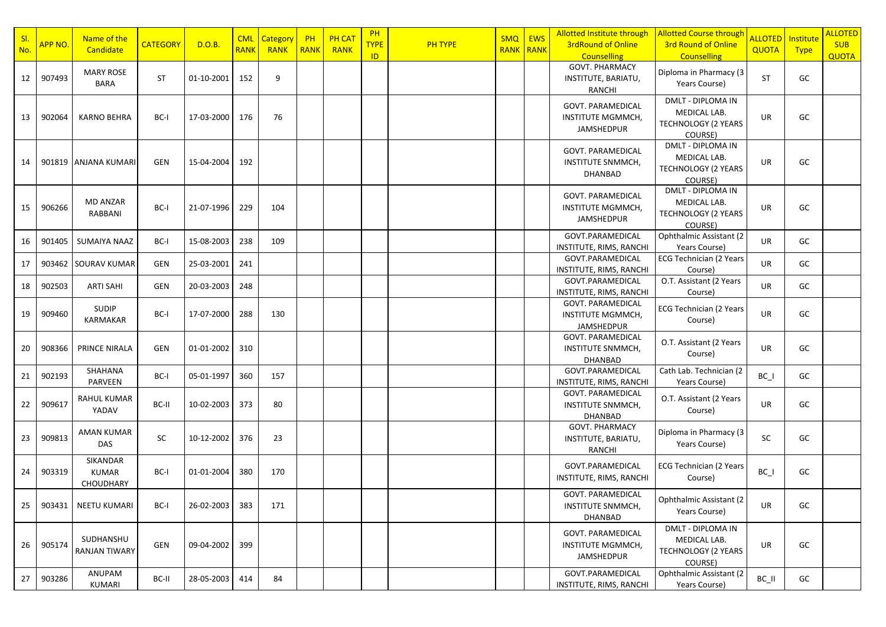| SI.<br>No. | APP NO. | Name of the<br>Candidate              | <b>CATEGORY</b> | D.O.B.         | <b>CML</b><br><b>RANK</b> | <b>Category</b><br>RANK | PH<br><b>RANK</b> | <b>PH CAT</b><br>RANK | PH<br><b>TYPE</b><br>ID | <b>PH TYPE</b> | SMQ EWS<br><b>RANK RANK</b> | Allotted Institute through<br><b>3rdRound of Online</b><br><b>Counselling</b>                        | <b>Allotted Course through</b><br><b>3rd Round of Online</b><br><b>Counselling</b> | <b>ALLOTED</b><br>QUOTA | Institute<br><b>Type</b> | <b>ALLOTED</b><br><b>SUB</b><br><b>QUOTA</b> |
|------------|---------|---------------------------------------|-----------------|----------------|---------------------------|-------------------------|-------------------|-----------------------|-------------------------|----------------|-----------------------------|------------------------------------------------------------------------------------------------------|------------------------------------------------------------------------------------|-------------------------|--------------------------|----------------------------------------------|
| 12         | 907493  | <b>MARY ROSE</b><br><b>BARA</b>       | <b>ST</b>       | 01-10-2001     | 152                       | 9                       |                   |                       |                         |                |                             | <b>GOVT. PHARMACY</b><br>INSTITUTE, BARIATU,<br>RANCHI                                               | Diploma in Pharmacy (3<br>Years Course)                                            | <b>ST</b>               | GC                       |                                              |
| 13         | 902064  | <b>KARNO BEHRA</b>                    | BC-I            | 17-03-2000     | 176                       | 76                      |                   |                       |                         |                |                             | GOVT. PARAMEDICAL<br><b>INSTITUTE MGMMCH,</b><br>JAMSHEDPUR                                          | DMLT - DIPLOMA IN<br>MEDICAL LAB.<br><b>TECHNOLOGY (2 YEARS</b><br>COURSE)         | UR                      | GC                       |                                              |
| 14         |         | 901819 ANJANA KUMARI                  | GEN             | 15-04-2004     | 192                       |                         |                   |                       |                         |                |                             | <b>GOVT. PARAMEDICAL</b><br>INSTITUTE SNMMCH,<br><b>DHANBAD</b>                                      | DMLT - DIPLOMA IN<br>MEDICAL LAB.<br><b>TECHNOLOGY (2 YEARS</b><br>COURSE)         | UR                      | GC                       |                                              |
| 15         | 906266  | MD ANZAR<br>RABBANI                   | BC-I            | 21-07-1996     | 229                       | 104                     |                   |                       |                         |                |                             | GOVT. PARAMEDICAL<br><b>INSTITUTE MGMMCH,</b><br><b>JAMSHEDPUR</b>                                   | DMLT - DIPLOMA IN<br>MEDICAL LAB.<br>TECHNOLOGY (2 YEARS<br>COURSE)                | UR                      | GC                       |                                              |
| 16         | 901405  | SUMAIYA NAAZ                          | BC-I            | 15-08-2003     | 238                       | 109                     |                   |                       |                         |                |                             | GOVT.PARAMEDICAL<br>INSTITUTE, RIMS, RANCHI                                                          | Ophthalmic Assistant (2<br>Years Course)                                           | <b>UR</b>               | GC                       |                                              |
| 17         |         | 903462 SOURAV KUMAR                   | GEN             | 25-03-2001     | 241                       |                         |                   |                       |                         |                |                             | GOVT.PARAMEDICAL<br>INSTITUTE, RIMS, RANCHI                                                          | <b>ECG Technician (2 Years</b><br>Course)                                          | UR                      | GC                       |                                              |
| 18         | 902503  | <b>ARTI SAHI</b>                      | GEN             | 20-03-2003     | 248                       |                         |                   |                       |                         |                |                             | GOVT.PARAMEDICAL                                                                                     | O.T. Assistant (2 Years                                                            | UR                      | GC                       |                                              |
| 19         | 909460  | SUDIP<br>KARMAKAR                     | BC-I            | 17-07-2000     | 288                       | 130                     |                   |                       |                         |                |                             | INSTITUTE, RIMS, RANCHI<br><b>GOVT. PARAMEDICAL</b><br><b>INSTITUTE MGMMCH,</b><br><b>JAMSHEDPUR</b> | Course)<br><b>ECG Technician (2 Years</b><br>Course)                               | UR                      | GC                       |                                              |
| 20         | 908366  | PRINCE NIRALA                         | GEN             | 01-01-2002     | 310                       |                         |                   |                       |                         |                |                             | <b>GOVT. PARAMEDICAL</b><br>INSTITUTE SNMMCH,<br><b>DHANBAD</b>                                      | O.T. Assistant (2 Years<br>Course)                                                 | UR                      | GC                       |                                              |
| 21         | 902193  | SHAHANA<br>PARVEEN                    | BC-I            | 05-01-1997     | 360                       | 157                     |                   |                       |                         |                |                             | GOVT.PARAMEDICAL<br>INSTITUTE, RIMS, RANCHI                                                          | Cath Lab. Technician (2<br>Years Course)                                           | $BC_$                   | GC                       |                                              |
| 22         | 909617  | RAHUL KUMAR<br>YADAV                  | BC-II           | 10-02-2003     | 373                       | 80                      |                   |                       |                         |                |                             | GOVT. PARAMEDICAL<br>INSTITUTE SNMMCH,<br><b>DHANBAD</b>                                             | O.T. Assistant (2 Years<br>Course)                                                 | UR                      | GC                       |                                              |
| 23         | 909813  | AMAN KUMAR<br>DAS                     | SC              | 10-12-2002     | 376                       | 23                      |                   |                       |                         |                |                             | <b>GOVT. PHARMACY</b><br>INSTITUTE, BARIATU,<br>RANCHI                                               | Diploma in Pharmacy (3<br>Years Course)                                            | SC                      | GC                       |                                              |
| 24         | 903319  | SIKANDAR<br><b>KUMAR</b><br>CHOUDHARY | BC-I            | 01-01-2004     | 380                       | 170                     |                   |                       |                         |                |                             | GOVT.PARAMEDICAL<br>INSTITUTE, RIMS, RANCHI                                                          | <b>ECG Technician (2 Years</b><br>Course)                                          | $BC_$                   | GC                       |                                              |
| 25         |         | 903431   NEETU KUMARI                 | BC-I            | 26-02-2003     | 383                       | 171                     |                   |                       |                         |                |                             | GOVT. PARAMEDICAL<br>INSTITUTE SNMMCH,<br><b>DHANBAD</b>                                             | Ophthalmic Assistant (2<br>Years Course)                                           | UR                      | GC                       |                                              |
| 26         | 905174  | SUDHANSHU<br><b>RANJAN TIWARY</b>     | GEN             | 09-04-2002 399 |                           |                         |                   |                       |                         |                |                             | GOVT. PARAMEDICAL<br>INSTITUTE MGMMCH,<br>JAMSHEDPUR                                                 | DMLT - DIPLOMA IN<br>MEDICAL LAB.<br><b>TECHNOLOGY (2 YEARS</b><br>COURSE)         | UR                      | GC                       |                                              |
| 27         | 903286  | ANUPAM<br>KUMARI                      | BC-II           | 28-05-2003     | 414                       | 84                      |                   |                       |                         |                |                             | GOVT.PARAMEDICAL<br>INSTITUTE, RIMS, RANCHI                                                          | Ophthalmic Assistant (2<br>Years Course)                                           | $BC$ $II$               | GC                       |                                              |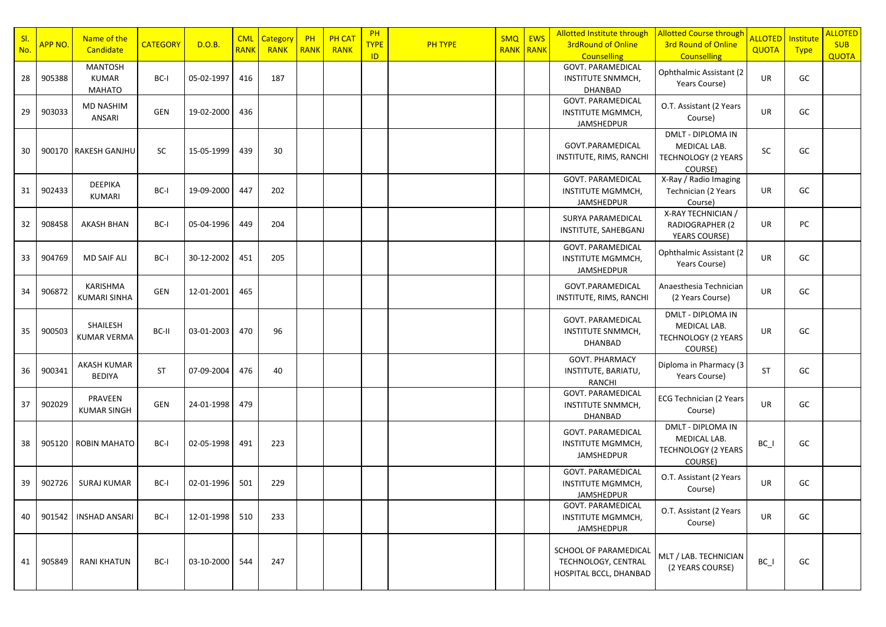| SI. | APP NO. | Name of the                                     | <b>CATEGORY</b> | D.O.B.     |             | <b>CML</b> Category | PH          | <b>PH CAT</b> | PH<br><b>TYPE</b> | <b>PH TYPE</b> | SMQ              | <b>EWS</b> | <b>Allotted Institute through</b><br><b>3rdRound of Online</b>         | <b>Allotted Course through</b><br><b>3rd Round of Online</b>                      | <b>ALLOTED</b> | Institute   | <b>ALLOTED</b><br><b>SUB</b> |
|-----|---------|-------------------------------------------------|-----------------|------------|-------------|---------------------|-------------|---------------|-------------------|----------------|------------------|------------|------------------------------------------------------------------------|-----------------------------------------------------------------------------------|----------------|-------------|------------------------------|
| No. |         | Candidate                                       |                 |            | <b>RANK</b> | RANK                | <b>RANK</b> | RANK          | ID                |                | <b>RANK RANK</b> |            | <b>Counselling</b>                                                     | <b>Counselling</b>                                                                | QUOTA          | <b>Type</b> | <b>QUOTA</b>                 |
| 28  | 905388  | <b>MANTOSH</b><br><b>KUMAR</b><br><b>MAHATO</b> | BC-I            | 05-02-1997 | 416         | 187                 |             |               |                   |                |                  |            | <b>GOVT. PARAMEDICAL</b><br>INSTITUTE SNMMCH,<br><b>DHANBAD</b>        | Ophthalmic Assistant (2<br>Years Course)                                          | UR             | GC          |                              |
| 29  | 903033  | <b>MD NASHIM</b><br>ANSARI                      | <b>GEN</b>      | 19-02-2000 | 436         |                     |             |               |                   |                |                  |            | <b>GOVT. PARAMEDICAL</b><br>INSTITUTE MGMMCH,<br><b>JAMSHEDPUR</b>     | O.T. Assistant (2 Years<br>Course)                                                | UR             | GC          |                              |
| 30  |         | 900170   RAKESH GANJHU                          | SC              | 15-05-1999 | 439         | 30                  |             |               |                   |                |                  |            | GOVT.PARAMEDICAL<br>INSTITUTE, RIMS, RANCHI                            | DMLT - DIPLOMA IN<br>MEDICAL LAB.<br><b>TECHNOLOGY (2 YEARS</b><br>COURSE)        | SC             | GC          |                              |
| 31  | 902433  | <b>DEEPIKA</b><br>KUMARI                        | BC-I            | 19-09-2000 | 447         | 202                 |             |               |                   |                |                  |            | <b>GOVT. PARAMEDICAL</b><br><b>INSTITUTE MGMMCH,</b><br>JAMSHEDPUR     | X-Ray / Radio Imaging<br>Technician (2 Years<br>Course)                           | UR             | GC          |                              |
| 32  | 908458  | AKASH BHAN                                      | BC-I            | 05-04-1996 | 449         | 204                 |             |               |                   |                |                  |            | SURYA PARAMEDICAL<br>INSTITUTE, SAHEBGANJ                              | X-RAY TECHNICIAN /<br><b>RADIOGRAPHER (2</b><br>YEARS COURSE)                     | UR             | PC          |                              |
| 33  | 904769  | <b>MD SAIF ALI</b>                              | BC-I            | 30-12-2002 | 451         | 205                 |             |               |                   |                |                  |            | <b>GOVT. PARAMEDICAL</b><br>INSTITUTE MGMMCH,<br><b>JAMSHEDPUR</b>     | Ophthalmic Assistant (2<br>Years Course)                                          | UR             | GC          |                              |
| 34  | 906872  | KARISHMA<br><b>KUMARI SINHA</b>                 | <b>GEN</b>      | 12-01-2001 | 465         |                     |             |               |                   |                |                  |            | GOVT.PARAMEDICAL<br>INSTITUTE, RIMS, RANCHI                            | Anaesthesia Technician<br>(2 Years Course)                                        | UR             | GC          |                              |
| 35  | 900503  | SHAILESH<br><b>KUMAR VERMA</b>                  | BC-II           | 03-01-2003 | 470         | 96                  |             |               |                   |                |                  |            | GOVT. PARAMEDICAL<br>INSTITUTE SNMMCH,<br><b>DHANBAD</b>               | DMLT - DIPLOMA IN<br>MEDICAL LAB.<br><b>TECHNOLOGY (2 YEARS</b><br>COURSE)        | UR             | GC          |                              |
| 36  | 900341  | <b>AKASH KUMAR</b><br><b>BEDIYA</b>             | <b>ST</b>       | 07-09-2004 | 476         | 40                  |             |               |                   |                |                  |            | GOVT. PHARMACY<br>INSTITUTE, BARIATU,<br>RANCHI                        | Diploma in Pharmacy (3<br>Years Course)                                           | <b>ST</b>      | GC          |                              |
| 37  | 902029  | PRAVEEN<br><b>KUMAR SINGH</b>                   | GEN             | 24-01-1998 | 479         |                     |             |               |                   |                |                  |            | GOVT. PARAMEDICAL<br><b>INSTITUTE SNMMCH,</b><br><b>DHANBAD</b>        | ECG Technician (2 Years<br>Course)                                                | UR             | GC          |                              |
| 38  | 905120  | <b>ROBIN MAHATO</b>                             | BC-I            | 02-05-1998 | 491         | 223                 |             |               |                   |                |                  |            | GOVT. PARAMEDICAL<br>INSTITUTE MGMMCH,<br>JAMSHEDPUR                   | <b>DMLT - DIPLOMA IN</b><br>MEDICAL LAB.<br><b>TECHNOLOGY (2 YEARS</b><br>COURSE) | $BC_$          | GC          |                              |
| 39  | 902726  | <b>SURAJ KUMAR</b>                              | BC-I            | 02-01-1996 | 501         | 229                 |             |               |                   |                |                  |            | <b>GOVT. PARAMEDICAL</b><br>INSTITUTE MGMMCH,<br>JAMSHEDPUR            | O.T. Assistant (2 Years<br>Course)                                                | UR             | GC          |                              |
| 40  | 901542  | <b>INSHAD ANSARI</b>                            | BC-I            | 12-01-1998 | 510         | 233                 |             |               |                   |                |                  |            | <b>GOVT. PARAMEDICAL</b><br>INSTITUTE MGMMCH,<br>JAMSHEDPUR            | O.T. Assistant (2 Years<br>Course)                                                | <b>UR</b>      | GC          |                              |
| 41  | 905849  | <b>RANI KHATUN</b>                              | BC-I            | 03-10-2000 | 544         | 247                 |             |               |                   |                |                  |            | SCHOOL OF PARAMEDICAL<br>TECHNOLOGY, CENTRAL<br>HOSPITAL BCCL, DHANBAD | MLT / LAB. TECHNICIAN<br>(2 YEARS COURSE)                                         | $BC_$          | GC          |                              |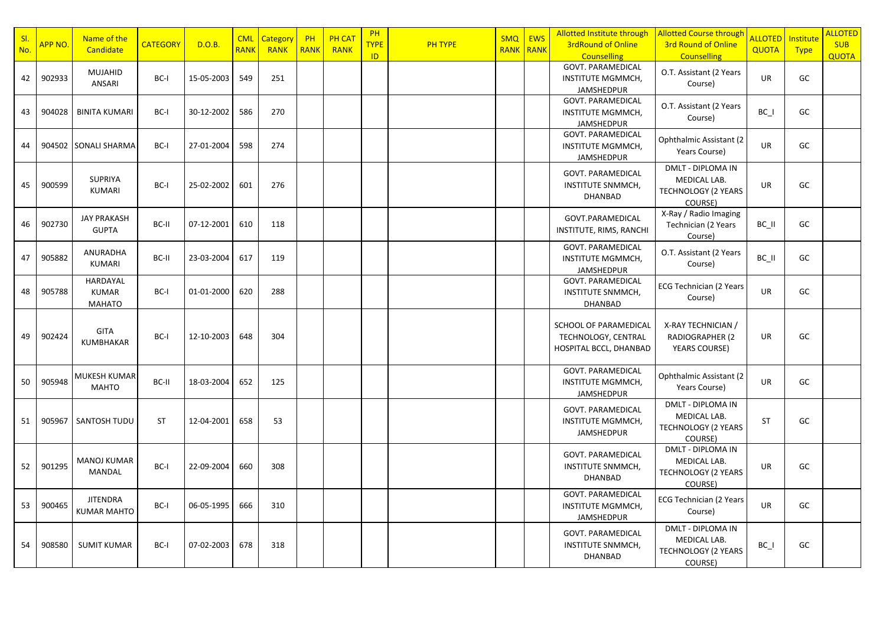| SI.<br>No. | APP NO. | Name of the<br>Candidate                  | <b>CATEGORY</b> | D.O.B.     | <b>CML</b><br><b>RANK</b> | Category<br><b>RANK</b> | <b>PH</b><br><b>RANK</b> | <b>PH CAT</b><br><b>RANK</b> | PH<br><b>TYPE</b> | <b>PH TYPE</b> | <b>SMQ</b><br><b>RANK RANK</b> | <b>EWS</b> | Allotted Institute through<br><b>3rdRound of Online</b>                          | <b>Allotted Course through</b><br><b>3rd Round of Online</b>                      | ALLOTED I<br><b>QUOTA</b> | Institute<br><b>Type</b> | <b>ALLOTED</b><br><b>SUB</b> |
|------------|---------|-------------------------------------------|-----------------|------------|---------------------------|-------------------------|--------------------------|------------------------------|-------------------|----------------|--------------------------------|------------|----------------------------------------------------------------------------------|-----------------------------------------------------------------------------------|---------------------------|--------------------------|------------------------------|
| 42         | 902933  | <b>MUJAHID</b><br>ANSARI                  | BC-I            | 15-05-2003 | 549                       | 251                     |                          |                              | <b>ID</b>         |                |                                |            | <b>Counselling</b><br><b>GOVT. PARAMEDICAL</b><br>INSTITUTE MGMMCH,              | <b>Counselling</b><br>O.T. Assistant (2 Years<br>Course)                          | <b>UR</b>                 | GC                       | <b>QUOTA</b>                 |
| 43         | 904028  | <b>BINITA KUMARI</b>                      | BC-I            | 30-12-2002 | 586                       | 270                     |                          |                              |                   |                |                                |            | <b>JAMSHEDPUR</b><br><b>GOVT. PARAMEDICAL</b><br>INSTITUTE MGMMCH,<br>JAMSHEDPUR | O.T. Assistant (2 Years<br>Course)                                                | BC_I                      | GC                       |                              |
| 44         | 904502  | <b>SONALI SHARMA</b>                      | BC-I            | 27-01-2004 | 598                       | 274                     |                          |                              |                   |                |                                |            | GOVT. PARAMEDICAL<br>INSTITUTE MGMMCH,<br>JAMSHEDPUR                             | Ophthalmic Assistant (2<br>Years Course)                                          | <b>UR</b>                 | GC                       |                              |
| 45         | 900599  | <b>SUPRIYA</b><br>KUMARI                  | BC-I            | 25-02-2002 | 601                       | 276                     |                          |                              |                   |                |                                |            | <b>GOVT. PARAMEDICAL</b><br>INSTITUTE SNMMCH,<br><b>DHANBAD</b>                  | <b>DMLT - DIPLOMA IN</b><br>MEDICAL LAB.<br><b>TECHNOLOGY (2 YEARS</b><br>COURSE) | <b>UR</b>                 | GC                       |                              |
| 46         | 902730  | <b>JAY PRAKASH</b><br><b>GUPTA</b>        | BC-II           | 07-12-2001 | 610                       | 118                     |                          |                              |                   |                |                                |            | GOVT.PARAMEDICAL<br>INSTITUTE, RIMS, RANCHI                                      | X-Ray / Radio Imaging<br>Technician (2 Years<br>Course)                           | BC_II                     | GC                       |                              |
| 47         | 905882  | ANURADHA<br><b>KUMARI</b>                 | BC-II           | 23-03-2004 | 617                       | 119                     |                          |                              |                   |                |                                |            | GOVT. PARAMEDICAL<br>INSTITUTE MGMMCH,<br><b>JAMSHEDPUR</b>                      | O.T. Assistant (2 Years<br>Course)                                                | BC II                     | GC                       |                              |
| 48         | 905788  | HARDAYAL<br><b>KUMAR</b><br><b>MAHATO</b> | BC-I            | 01-01-2000 | 620                       | 288                     |                          |                              |                   |                |                                |            | GOVT. PARAMEDICAL<br>INSTITUTE SNMMCH,<br><b>DHANBAD</b>                         | ECG Technician (2 Years<br>Course)                                                | <b>UR</b>                 | GC                       |                              |
| 49         | 902424  | GITA<br><b>KUMBHAKAR</b>                  | BC-I            | 12-10-2003 | 648                       | 304                     |                          |                              |                   |                |                                |            | SCHOOL OF PARAMEDICAL<br>TECHNOLOGY, CENTRAL<br>HOSPITAL BCCL, DHANBAD           | X-RAY TECHNICIAN /<br><b>RADIOGRAPHER (2</b><br>YEARS COURSE)                     | UR                        | GC                       |                              |
| 50         | 905948  | MUKESH KUMAR<br><b>MAHTO</b>              | BC-II           | 18-03-2004 | 652                       | 125                     |                          |                              |                   |                |                                |            | <b>GOVT. PARAMEDICAL</b><br>INSTITUTE MGMMCH,<br><b>JAMSHEDPUR</b>               | Ophthalmic Assistant (2)<br>Years Course)                                         | <b>UR</b>                 | GC                       |                              |
| 51         | 905967  | SANTOSH TUDU                              | <b>ST</b>       | 12-04-2001 | 658                       | 53                      |                          |                              |                   |                |                                |            | GOVT. PARAMEDICAL<br>INSTITUTE MGMMCH,<br>JAMSHEDPUR                             | DMLT - DIPLOMA IN<br>MEDICAL LAB.<br><b>TECHNOLOGY (2 YEARS</b><br>COURSE)        | <b>ST</b>                 | GC                       |                              |
| 52         | 901295  | <b>MANOJ KUMAR</b><br>MANDAL              | BC-I            | 22-09-2004 | 660                       | 308                     |                          |                              |                   |                |                                |            | GOVT. PARAMEDICAL<br><b>INSTITUTE SNMMCH,</b><br>DHANBAD                         | DMLT - DIPLOMA IN<br>MEDICAL LAB.<br>TECHNOLOGY (2 YEARS<br>COURSE)               | <b>UR</b>                 | GC                       |                              |
| 53         | 900465  | <b>JITENDRA</b><br><b>KUMAR MAHTO</b>     | BC-I            | 06-05-1995 | 666                       | 310                     |                          |                              |                   |                |                                |            | <b>GOVT. PARAMEDICAL</b><br>INSTITUTE MGMMCH,<br>JAMSHEDPUR                      | ECG Technician (2 Years<br>Course)                                                | UR                        | GC                       |                              |
| 54         | 908580  | <b>SUMIT KUMAR</b>                        | BC-I            | 07-02-2003 | 678                       | 318                     |                          |                              |                   |                |                                |            | GOVT. PARAMEDICAL<br>INSTITUTE SNMMCH,<br>DHANBAD                                | <b>DMLT - DIPLOMA IN</b><br>MEDICAL LAB.<br><b>TECHNOLOGY (2 YEARS</b><br>COURSE) | $BC_$                     | GC                       |                              |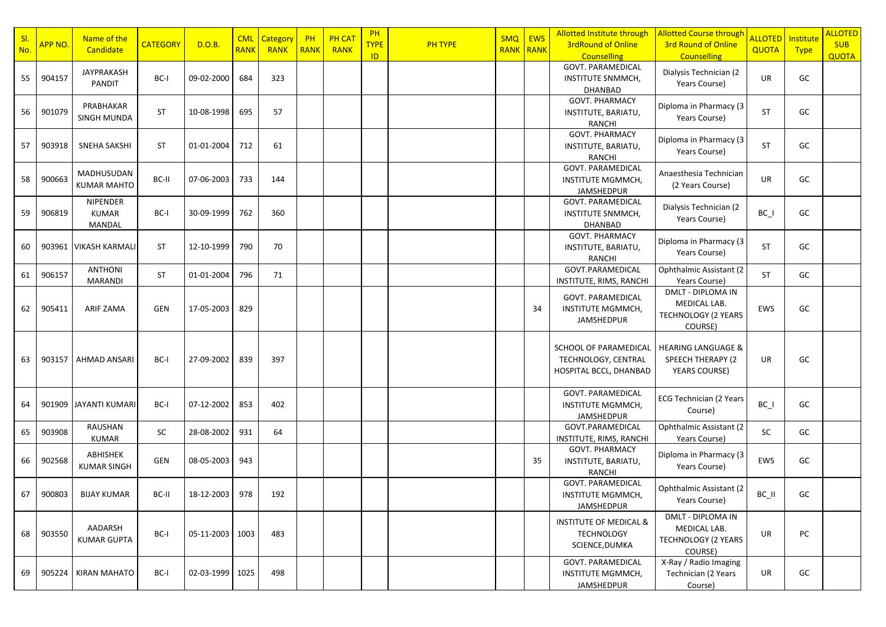| SI. | APP NO. | Name of the                               | <b>CATEGORY</b> | D.O.B.          |             | <b>CML</b> Category | PH          | <b>PH CAT</b> | PH<br><b>TYPE</b> | <b>PH TYPE</b> | SMQ       | <b>EWS</b> | <b>Allotted Institute through</b><br><b>3rdRound of Online</b>            | <b>Allotted Course through</b><br><b>3rd Round of Online</b>               | ALLOTED   Institute |             | <b>ALLOTED</b><br><b>SUB</b> |
|-----|---------|-------------------------------------------|-----------------|-----------------|-------------|---------------------|-------------|---------------|-------------------|----------------|-----------|------------|---------------------------------------------------------------------------|----------------------------------------------------------------------------|---------------------|-------------|------------------------------|
| No. |         | Candidate                                 |                 |                 | <b>RANK</b> | <b>RANK</b>         | <b>RANK</b> | RANK          | ID                |                | RANK RANK |            | <b>Counselling</b>                                                        | <b>Counselling</b>                                                         | QUOTA               | <b>Type</b> | <b>QUOTA</b>                 |
| 55  | 904157  | JAYPRAKASH<br><b>PANDIT</b>               | BC-I            | 09-02-2000      | 684         | 323                 |             |               |                   |                |           |            | <b>GOVT. PARAMEDICAL</b><br>INSTITUTE SNMMCH,<br>DHANBAD                  | Dialysis Technician (2<br>Years Course)                                    | <b>UR</b>           | GC          |                              |
| 56  | 901079  | PRABHAKAR<br><b>SINGH MUNDA</b>           | <b>ST</b>       | 10-08-1998      | 695         | 57                  |             |               |                   |                |           |            | GOVT. PHARMACY<br>INSTITUTE, BARIATU,<br>RANCHI                           | Diploma in Pharmacy (3<br>Years Course)                                    | ST                  | GC          |                              |
| 57  | 903918  | <b>SNEHA SAKSHI</b>                       | ST              | 01-01-2004      | 712         | 61                  |             |               |                   |                |           |            | GOVT. PHARMACY<br>INSTITUTE, BARIATU,<br>RANCHI                           | Diploma in Pharmacy (3<br>Years Course)                                    | ST                  | GC          |                              |
| 58  | 900663  | MADHUSUDAN<br><b>KUMAR MAHTO</b>          | BC-II           | 07-06-2003      | 733         | 144                 |             |               |                   |                |           |            | <b>GOVT. PARAMEDICAL</b><br><b>INSTITUTE MGMMCH,</b><br>JAMSHEDPUR        | Anaesthesia Technician<br>(2 Years Course)                                 | <b>UR</b>           | GC          |                              |
| 59  | 906819  | <b>NIPENDER</b><br><b>KUMAR</b><br>MANDAL | BC-I            | 30-09-1999      | 762         | 360                 |             |               |                   |                |           |            | GOVT. PARAMEDICAL<br><b>INSTITUTE SNMMCH,</b><br><b>DHANBAD</b>           | Dialysis Technician (2<br>Years Course)                                    | $BC_$               | GC          |                              |
| 60  |         | 903961   VIKASH KARMALI                   | ST              | 12-10-1999      | 790         | 70                  |             |               |                   |                |           |            | GOVT. PHARMACY<br>INSTITUTE, BARIATU,<br>RANCHI                           | Diploma in Pharmacy (3<br>Years Course)                                    | ST                  | GC          |                              |
| 61  | 906157  | <b>ANTHONI</b><br><b>MARANDI</b>          | ST              | 01-01-2004      | 796         | 71                  |             |               |                   |                |           |            | GOVT.PARAMEDICAL<br>INSTITUTE, RIMS, RANCHI                               | Ophthalmic Assistant (2<br>Years Course)                                   | <b>ST</b>           | GC          |                              |
| 62  | 905411  | ARIF ZAMA                                 | GEN             | 17-05-2003      | 829         |                     |             |               |                   |                |           | 34         | GOVT. PARAMEDICAL<br><b>INSTITUTE MGMMCH,</b><br>JAMSHEDPUR               | DMLT - DIPLOMA IN<br>MEDICAL LAB.<br><b>TECHNOLOGY (2 YEARS</b><br>COURSE) | EWS                 | GC          |                              |
| 63  | 903157  | AHMAD ANSARI                              | BC-I            | 27-09-2002      | 839         | 397                 |             |               |                   |                |           |            | SCHOOL OF PARAMEDICAL<br>TECHNOLOGY, CENTRAL<br>HOSPITAL BCCL, DHANBAD    | <b>HEARING LANGUAGE &amp;</b><br>SPEECH THERAPY (2<br><b>YEARS COURSE)</b> | UR                  | GC          |                              |
| 64  |         | 901909 JAYANTI KUMARI                     | BC-I            | 07-12-2002      | 853         | 402                 |             |               |                   |                |           |            | GOVT. PARAMEDICAL<br>INSTITUTE MGMMCH,<br>JAMSHEDPUR                      | <b>ECG Technician (2 Years</b><br>Course)                                  | $BC_$               | GC          |                              |
| 65  | 903908  | RAUSHAN<br>KUMAR                          | SC              | 28-08-2002      | 931         | 64                  |             |               |                   |                |           |            | GOVT.PARAMEDICAL<br>INSTITUTE, RIMS, RANCHI                               | Ophthalmic Assistant (2<br>Years Course)                                   | SC                  | GC          |                              |
| 66  | 902568  | ABHISHEK<br><b>KUMAR SINGH</b>            | GEN             | 08-05-2003      | 943         |                     |             |               |                   |                |           | 35         | GOVT. PHARMACY<br>INSTITUTE, BARIATU,<br>RANCHI                           | Diploma in Pharmacy (3<br>Years Course)                                    | EWS                 | GC          |                              |
| 67  | 900803  | <b>BIJAY KUMAR</b>                        | BC-II           | 18-12-2003      | 978         | 192                 |             |               |                   |                |           |            | <b>GOVT. PARAMEDICAL</b><br><b>INSTITUTE MGMMCH,</b><br><b>JAMSHEDPUR</b> | Ophthalmic Assistant (2<br>Years Course)                                   | BC II               | GC          |                              |
| 68  | 903550  | AADARSH<br><b>KUMAR GUPTA</b>             | BC-I            | 05-11-2003 1003 |             | 483                 |             |               |                   |                |           |            | <b>INSTITUTE OF MEDICAL &amp;</b><br><b>TECHNOLOGY</b><br>SCIENCE, DUMKA  | DMLT - DIPLOMA IN<br>MEDICAL LAB.<br><b>TECHNOLOGY (2 YEARS</b><br>COURSE) | UR                  | PC          |                              |
| 69  | 905224  | <b>KIRAN MAHATO</b>                       | BC-I            | 02-03-1999      | 1025        | 498                 |             |               |                   |                |           |            | GOVT. PARAMEDICAL<br><b>INSTITUTE MGMMCH,</b><br>JAMSHEDPUR               | X-Ray / Radio Imaging<br>Technician (2 Years<br>Course)                    | UR                  | GC          |                              |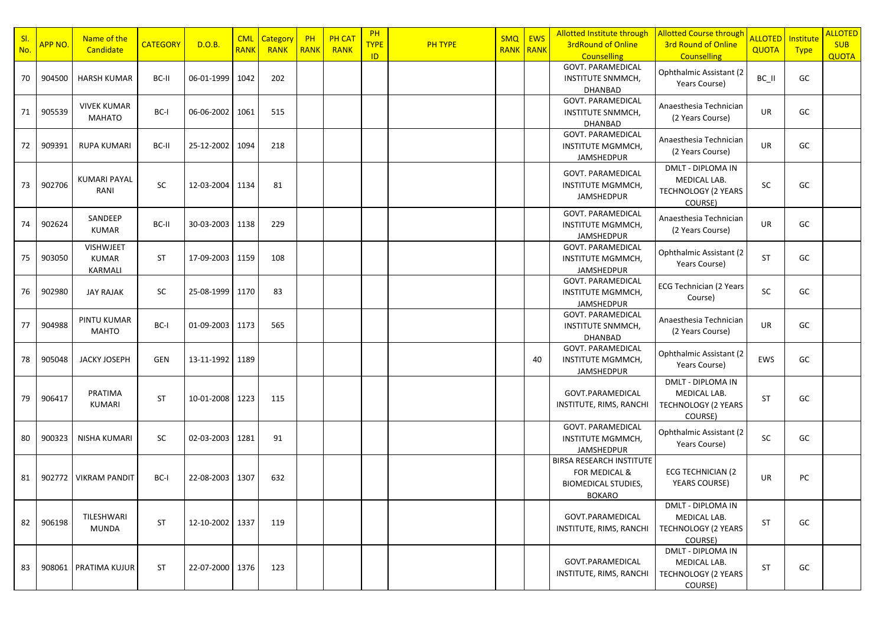| SI. |         | Name of the                                 |                 |                   | <b>CML</b>  | Category    | PH          | <b>PH CAT</b> | PH          |         | <b>SMQ</b>       | <b>EWS</b> | <b>Allotted Institute through</b>                                                                          | <b>Allotted Course through</b>                                                    | ALLOTED   Institute |             | <b>ALLOTED</b> |
|-----|---------|---------------------------------------------|-----------------|-------------------|-------------|-------------|-------------|---------------|-------------|---------|------------------|------------|------------------------------------------------------------------------------------------------------------|-----------------------------------------------------------------------------------|---------------------|-------------|----------------|
| No. | APP NO. | Candidate                                   | <b>CATEGORY</b> | D.O.B.            | <b>RANK</b> | <b>RANK</b> | <b>RANK</b> | <b>RANK</b>   | <b>TYPE</b> | PH TYPE | <b>RANK RANK</b> |            | <b>3rdRound of Online</b>                                                                                  | <b>3rd Round of Online</b>                                                        | <b>QUOTA</b>        | <b>Type</b> | <b>SUB</b>     |
|     |         |                                             |                 |                   |             |             |             |               | ID          |         |                  |            | <b>Counselling</b>                                                                                         | <b>Counselling</b>                                                                |                     |             | <b>QUOTA</b>   |
| 70  | 904500  | <b>HARSH KUMAR</b>                          | BC-II           | 06-01-1999   1042 |             | 202         |             |               |             |         |                  |            | <b>GOVT. PARAMEDICAL</b><br>INSTITUTE SNMMCH,<br>DHANBAD                                                   | Ophthalmic Assistant (2<br>Years Course)                                          | BC_II               | GC          |                |
| 71  | 905539  | <b>VIVEK KUMAR</b><br>MAHATO                | BC-I            | 06-06-2002        | 1061        | 515         |             |               |             |         |                  |            | <b>GOVT. PARAMEDICAL</b><br>INSTITUTE SNMMCH,<br><b>DHANBAD</b>                                            | Anaesthesia Technician<br>(2 Years Course)                                        | UR                  | GC          |                |
| 72  | 909391  | RUPA KUMARI                                 | BC-II           | 25-12-2002        | 1094        | 218         |             |               |             |         |                  |            | <b>GOVT. PARAMEDICAL</b><br>INSTITUTE MGMMCH,<br>JAMSHEDPUR                                                | Anaesthesia Technician<br>(2 Years Course)                                        | UR                  | GC          |                |
| 73  | 902706  | <b>KUMARI PAYAL</b><br>RANI                 | SC              | 12-03-2004 1134   |             | 81          |             |               |             |         |                  |            | GOVT. PARAMEDICAL<br>INSTITUTE MGMMCH,<br>JAMSHEDPUR                                                       | DMLT - DIPLOMA IN<br>MEDICAL LAB.<br><b>TECHNOLOGY (2 YEARS</b><br>COURSE)        | SC                  | GC          |                |
| 74  | 902624  | SANDEEP<br><b>KUMAR</b>                     | BC-II           | 30-03-2003        | 1138        | 229         |             |               |             |         |                  |            | <b>GOVT. PARAMEDICAL</b><br>INSTITUTE MGMMCH,<br>JAMSHEDPUR                                                | Anaesthesia Technician<br>(2 Years Course)                                        | UR                  | GC          |                |
| 75  | 903050  | <b>VISHWJEET</b><br><b>KUMAR</b><br>KARMALI | ST              | 17-09-2003        | 1159        | 108         |             |               |             |         |                  |            | <b>GOVT. PARAMEDICAL</b><br>INSTITUTE MGMMCH,<br>JAMSHEDPUR                                                | Ophthalmic Assistant (2<br>Years Course)                                          | <b>ST</b>           | GC          |                |
| 76  | 902980  | JAY RAJAK                                   | SC.             | 25-08-1999   1170 |             | 83          |             |               |             |         |                  |            | <b>GOVT. PARAMEDICAL</b><br>INSTITUTE MGMMCH,<br>JAMSHEDPUR                                                | <b>ECG Technician (2 Years</b><br>Course)                                         | SC                  | GC          |                |
| 77  | 904988  | PINTU KUMAR<br>MAHTO                        | BC-I            | 01-09-2003        | 1173        | 565         |             |               |             |         |                  |            | <b>GOVT. PARAMEDICAL</b><br><b>INSTITUTE SNMMCH,</b><br>DHANBAD                                            | Anaesthesia Technician<br>(2 Years Course)                                        | UR                  | GC          |                |
| 78  | 905048  | <b>JACKY JOSEPH</b>                         | <b>GEN</b>      | 13-11-1992        | 1189        |             |             |               |             |         |                  | 40         | <b>GOVT. PARAMEDICAL</b><br>INSTITUTE MGMMCH,<br>JAMSHEDPUR                                                | Ophthalmic Assistant (2<br>Years Course)                                          | EWS                 | GC          |                |
| 79  | 906417  | PRATIMA<br>KUMARI                           | ST              | 10-01-2008 1223   |             | 115         |             |               |             |         |                  |            | GOVT.PARAMEDICAL<br>INSTITUTE, RIMS, RANCHI                                                                | DMLT - DIPLOMA IN<br>MEDICAL LAB.<br>TECHNOLOGY (2 YEARS<br>COURSE)               | <b>ST</b>           | GC          |                |
| 80  | 900323  | NISHA KUMARI                                | SC              | 02-03-2003        | 1281        | 91          |             |               |             |         |                  |            | <b>GOVT. PARAMEDICAL</b><br>INSTITUTE MGMMCH,<br>JAMSHEDPUR                                                | Ophthalmic Assistant (2<br>Years Course)                                          | SC                  | GC          |                |
| 81  | 902772  | <b>VIKRAM PANDIT</b>                        | BC-I            | 22-08-2003 1307   |             | 632         |             |               |             |         |                  |            | <b>BIRSA RESEARCH INSTITUTE</b><br><b>FOR MEDICAL &amp;</b><br><b>BIOMEDICAL STUDIES,</b><br><b>BOKARO</b> | <b>ECG TECHNICIAN (2)</b><br><b>YEARS COURSE)</b>                                 | UR                  | PC          |                |
| 82  | 906198  | TILESHWARI<br><b>MUNDA</b>                  | <b>ST</b>       | 12-10-2002 1337   |             | 119         |             |               |             |         |                  |            | GOVT.PARAMEDICAL<br>INSTITUTE, RIMS, RANCHI                                                                | DMLT - DIPLOMA IN<br>MEDICAL LAB.<br><b>TECHNOLOGY (2 YEARS</b><br>COURSE)        | <b>ST</b>           | GC          |                |
| 83  | 908061  | PRATIMA KUJUR                               | <b>ST</b>       | 22-07-2000 1376   |             | 123         |             |               |             |         |                  |            | GOVT.PARAMEDICAL<br>INSTITUTE, RIMS, RANCHI                                                                | <b>DMLT - DIPLOMA IN</b><br>MEDICAL LAB.<br><b>TECHNOLOGY (2 YEARS</b><br>COURSE) | <b>ST</b>           | GC          |                |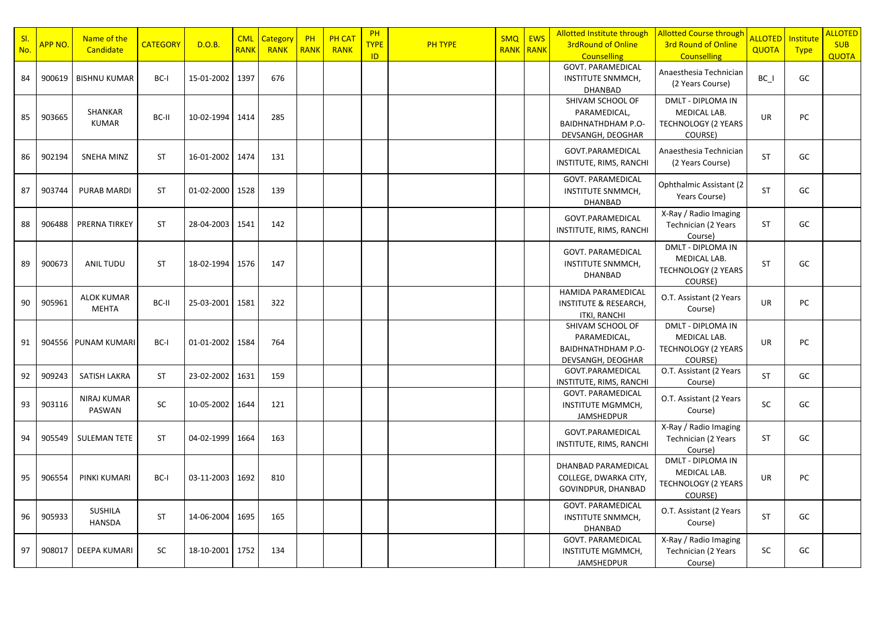| SI. |                      | Name of the                       |                 | D.O.B.          | <b>CML</b>  | <b>Category</b> | PH          | <b>PH CAT</b> | <b>PH</b>          |         | <b>SMQ</b>       | <b>EWS</b> | Allotted Institute through                                                           | <b>Allotted Course through</b>                                                    | ALLOTED I    | Institute   | <b>ALLOTED</b>             |
|-----|----------------------|-----------------------------------|-----------------|-----------------|-------------|-----------------|-------------|---------------|--------------------|---------|------------------|------------|--------------------------------------------------------------------------------------|-----------------------------------------------------------------------------------|--------------|-------------|----------------------------|
| No. | <mark>APP NO.</mark> | Candidate                         | <b>CATEGORY</b> |                 | <b>RANK</b> | <b>RANK</b>     | <b>RANK</b> | <b>RANK</b>   | <b>TYPE</b><br>ID. | PH TYPE | <b>RANK RANK</b> |            | <b>3rdRound of Online</b><br><b>Counselling</b>                                      | <b>3rd Round of Online</b><br><b>Counselling</b>                                  | <b>QUOTA</b> | <b>Type</b> | <b>SUB</b><br><b>QUOTA</b> |
| 84  | 900619               | <b>BISHNU KUMAR</b>               | BC-I            | 15-01-2002      | 1397        | 676             |             |               |                    |         |                  |            | <b>GOVT. PARAMEDICAL</b><br>INSTITUTE SNMMCH,<br><b>DHANBAD</b>                      | Anaesthesia Technician<br>(2 Years Course)                                        | BC_I         | GC          |                            |
| 85  | 903665               | SHANKAR<br><b>KUMAR</b>           | BC-II           | 10-02-1994      | 1414        | 285             |             |               |                    |         |                  |            | SHIVAM SCHOOL OF<br>PARAMEDICAL,<br>BAIDHNATHDHAM P.O-<br>DEVSANGH, DEOGHAR          | DMLT - DIPLOMA IN<br>MEDICAL LAB.<br><b>TECHNOLOGY (2 YEARS</b><br>COURSE)        | <b>UR</b>    | <b>PC</b>   |                            |
| 86  | 902194               | <b>SNEHA MINZ</b>                 | <b>ST</b>       | 16-01-2002 1474 |             | 131             |             |               |                    |         |                  |            | GOVT.PARAMEDICAL<br>INSTITUTE, RIMS, RANCHI                                          | Anaesthesia Technician<br>(2 Years Course)                                        | <b>ST</b>    | GC          |                            |
| 87  | 903744               | <b>PURAB MARDI</b>                | ST              | 01-02-2000      | 1528        | 139             |             |               |                    |         |                  |            | <b>GOVT. PARAMEDICAL</b><br>INSTITUTE SNMMCH,<br><b>DHANBAD</b>                      | Ophthalmic Assistant (2<br>Years Course)                                          | <b>ST</b>    | GC          |                            |
| 88  | 906488               | <b>PRERNA TIRKEY</b>              | <b>ST</b>       | 28-04-2003      | 1541        | 142             |             |               |                    |         |                  |            | GOVT.PARAMEDICAL<br>INSTITUTE, RIMS, RANCHI                                          | X-Ray / Radio Imaging<br>Technician (2 Years<br>Course)                           | <b>ST</b>    | GC          |                            |
| 89  | 900673               | ANIL TUDU                         | <b>ST</b>       | 18-02-1994      | 1576        | 147             |             |               |                    |         |                  |            | <b>GOVT. PARAMEDICAL</b><br>INSTITUTE SNMMCH,<br><b>DHANBAD</b>                      | DMLT - DIPLOMA IN<br>MEDICAL LAB.<br><b>TECHNOLOGY (2 YEARS</b><br>COURSE)        | <b>ST</b>    | GC          |                            |
| 90  | 905961               | <b>ALOK KUMAR</b><br><b>MEHTA</b> | BC-II           | 25-03-2001      | 1581        | 322             |             |               |                    |         |                  |            | <b>HAMIDA PARAMEDICAL</b><br><b>INSTITUTE &amp; RESEARCH,</b><br><b>ITKI, RANCHI</b> | O.T. Assistant (2 Years<br>Course)                                                | <b>UR</b>    | <b>PC</b>   |                            |
| 91  |                      | 904556   PUNAM KUMARI             | BC-I            | 01-01-2002      | 1584        | 764             |             |               |                    |         |                  |            | SHIVAM SCHOOL OF<br>PARAMEDICAL,<br>BAIDHNATHDHAM P.O-<br>DEVSANGH, DEOGHAR          | <b>DMLT - DIPLOMA IN</b><br>MEDICAL LAB.<br><b>TECHNOLOGY (2 YEARS</b><br>COURSE) | <b>UR</b>    | PC          |                            |
| 92  | 909243               | SATISH LAKRA                      | <b>ST</b>       | 23-02-2002      | 1631        | 159             |             |               |                    |         |                  |            | GOVT.PARAMEDICAL<br>INSTITUTE, RIMS, RANCHI                                          | O.T. Assistant (2 Years<br>Course)                                                | <b>ST</b>    | GC          |                            |
| 93  | 903116               | NIRAJ KUMAR<br>PASWAN             | SC              | 10-05-2002      | 1644        | 121             |             |               |                    |         |                  |            | <b>GOVT. PARAMEDICAL</b><br><b>INSTITUTE MGMMCH,</b><br>JAMSHEDPUR                   | O.T. Assistant (2 Years<br>Course)                                                | SC           | GC          |                            |
| 94  | 905549               | <b>SULEMAN TETE</b>               | <b>ST</b>       | 04-02-1999      | 1664        | 163             |             |               |                    |         |                  |            | GOVT.PARAMEDICAL<br>INSTITUTE, RIMS, RANCHI                                          | X-Ray / Radio Imaging<br>Technician (2 Years<br>Course)                           | <b>ST</b>    | GC          |                            |
| 95  | 906554               | PINKI KUMARI                      | BC-I            | 03-11-2003      | 1692        | 810             |             |               |                    |         |                  |            | DHANBAD PARAMEDICAL<br>COLLEGE, DWARKA CITY,<br>GOVINDPUR, DHANBAD                   | DMLT - DIPLOMA IN<br>MEDICAL LAB.<br>TECHNOLOGY (2 YEARS<br>COURSE)               | UR           | PC          |                            |
| 96  | 905933               | <b>SUSHILA</b><br><b>HANSDA</b>   | <b>ST</b>       | 14-06-2004      | 1695        | 165             |             |               |                    |         |                  |            | <b>GOVT. PARAMEDICAL</b><br>INSTITUTE SNMMCH,<br><b>DHANBAD</b>                      | O.T. Assistant (2 Years<br>Course)                                                | <b>ST</b>    | GC          |                            |
| 97  | 908017               | <b>DEEPA KUMARI</b>               | SC              | 18-10-2001      | 1752        | 134             |             |               |                    |         |                  |            | GOVT. PARAMEDICAL<br><b>INSTITUTE MGMMCH,</b><br>JAMSHEDPUR                          | X-Ray / Radio Imaging<br>Technician (2 Years<br>Course)                           | SC           | GC          |                            |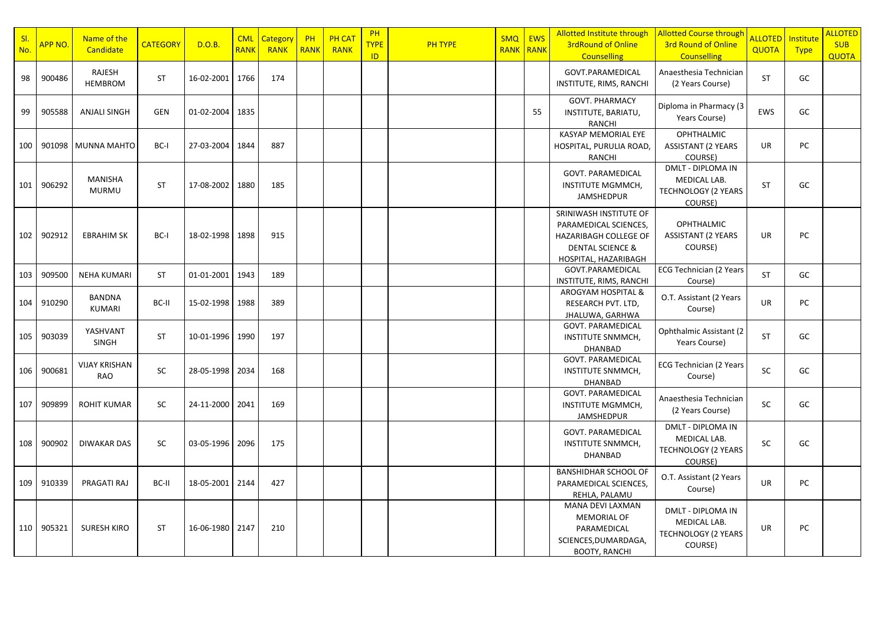| SI.<br>No. | APP NO. | Name of the<br>Candidate       | <b>CATEGORY</b> | D.O.B.            | <b>CML</b><br><b>RANK</b> | <b>Category</b><br><b>RANK</b> | PH<br><b>RANK</b> | <b>PH CAT</b><br><b>RANK</b> | PH<br><b>TYPE</b><br>ID. | PH TYPE | <b>SMQ</b> | <b>EWS</b><br><b>RANK RANK</b> | Allotted Institute through<br><b>3rdRound of Online</b><br><b>Counselling</b>                                                          | <b>Allotted Course through</b><br>3rd Round of Online<br><b>Counselling</b> | <b>ALLOTED</b><br>QUOTA | Institute<br><b>Type</b> | <b>ALLOTED</b><br><b>SUB</b><br><b>QUOTA</b> |
|------------|---------|--------------------------------|-----------------|-------------------|---------------------------|--------------------------------|-------------------|------------------------------|--------------------------|---------|------------|--------------------------------|----------------------------------------------------------------------------------------------------------------------------------------|-----------------------------------------------------------------------------|-------------------------|--------------------------|----------------------------------------------|
| 98         | 900486  | RAJESH<br><b>HEMBROM</b>       | <b>ST</b>       | 16-02-2001        | 1766                      | 174                            |                   |                              |                          |         |            |                                | GOVT.PARAMEDICAL<br>INSTITUTE, RIMS, RANCHI                                                                                            | Anaesthesia Technician<br>(2 Years Course)                                  | <b>ST</b>               | GC                       |                                              |
| 99         | 905588  | <b>ANJALI SINGH</b>            | <b>GEN</b>      | 01-02-2004   1835 |                           |                                |                   |                              |                          |         |            | 55                             | <b>GOVT. PHARMACY</b><br>INSTITUTE, BARIATU,<br><b>RANCHI</b>                                                                          | Diploma in Pharmacy (3<br>Years Course)                                     | EWS                     | GC                       |                                              |
| 100        | 901098  | MUNNA MAHTO                    | BC-I            | 27-03-2004        | 1844                      | 887                            |                   |                              |                          |         |            |                                | KASYAP MEMORIAL EYE<br>HOSPITAL, PURULIA ROAD,<br><b>RANCHI</b>                                                                        | <b>OPHTHALMIC</b><br><b>ASSISTANT (2 YEARS</b><br>COURSE)                   | UR                      | PC                       |                                              |
| 101        | 906292  | <b>MANISHA</b><br><b>MURMU</b> | <b>ST</b>       | 17-08-2002        | 1880                      | 185                            |                   |                              |                          |         |            |                                | GOVT. PARAMEDICAL<br>INSTITUTE MGMMCH,<br>JAMSHEDPUR                                                                                   | DMLT - DIPLOMA IN<br>MEDICAL LAB.<br><b>TECHNOLOGY (2 YEARS</b><br>COURSE)  | <b>ST</b>               | GC                       |                                              |
| 102        | 902912  | <b>EBRAHIM SK</b>              | BC-I            | 18-02-1998        | 1898                      | 915                            |                   |                              |                          |         |            |                                | SRINIWASH INSTITUTE OF<br>PARAMEDICAL SCIENCES,<br><b>HAZARIBAGH COLLEGE OF</b><br><b>DENTAL SCIENCE &amp;</b><br>HOSPITAL, HAZARIBAGH | <b>OPHTHALMIC</b><br><b>ASSISTANT (2 YEARS</b><br>COURSE)                   | <b>UR</b>               | PC                       |                                              |
| 103        | 909500  | <b>NEHA KUMARI</b>             | <b>ST</b>       | 01-01-2001 1943   |                           | 189                            |                   |                              |                          |         |            |                                | GOVT.PARAMEDICAL<br>INSTITUTE, RIMS, RANCHI                                                                                            | <b>ECG Technician (2 Years</b><br>Course)                                   | <b>ST</b>               | GC                       |                                              |
| 104        | 910290  | <b>BANDNA</b><br><b>KUMARI</b> | BC-II           | 15-02-1998 1988   |                           | 389                            |                   |                              |                          |         |            |                                | AROGYAM HOSPITAL &<br>RESEARCH PVT. LTD,<br>JHALUWA, GARHWA                                                                            | O.T. Assistant (2 Years<br>Course)                                          | UR                      | PC                       |                                              |
| 105        | 903039  | YASHVANT<br><b>SINGH</b>       | ST              | 10-01-1996        | 1990                      | 197                            |                   |                              |                          |         |            |                                | GOVT. PARAMEDICAL<br>INSTITUTE SNMMCH,<br>DHANBAD                                                                                      | Ophthalmic Assistant (2<br>Years Course)                                    | <b>ST</b>               | GC                       |                                              |
| 106        | 900681  | <b>VIJAY KRISHAN</b><br>RAO    | SC              | 28-05-1998        | 2034                      | 168                            |                   |                              |                          |         |            |                                | GOVT. PARAMEDICAL<br><b>INSTITUTE SNMMCH,</b><br>DHANBAD                                                                               | ECG Technician (2 Years<br>Course)                                          | SC                      | GC                       |                                              |
| 107        | 909899  | <b>ROHIT KUMAR</b>             | <b>SC</b>       | 24-11-2000        | 2041                      | 169                            |                   |                              |                          |         |            |                                | <b>GOVT. PARAMEDICAL</b><br>INSTITUTE MGMMCH,<br><b>JAMSHEDPUR</b>                                                                     | Anaesthesia Technician<br>(2 Years Course)                                  | SC                      | GC                       |                                              |
| 108        | 900902  | <b>DIWAKAR DAS</b>             | SC              | 03-05-1996        | 2096                      | 175                            |                   |                              |                          |         |            |                                | GOVT. PARAMEDICAL<br>INSTITUTE SNMMCH,<br><b>DHANBAD</b>                                                                               | DMLT - DIPLOMA IN<br>MEDICAL LAB.<br><b>TECHNOLOGY (2 YEARS</b><br>COURSE)  | SC                      | GC                       |                                              |
| 109        | 910339  | PRAGATI RAJ                    | BC-II           | 18-05-2001        | 2144                      | 427                            |                   |                              |                          |         |            |                                | <b>BANSHIDHAR SCHOOL OF</b><br>PARAMEDICAL SCIENCES,<br>REHLA, PALAMU                                                                  | O.T. Assistant (2 Years<br>Course)                                          | UR                      | PC                       |                                              |
| 110        | 905321  | <b>SURESH KIRO</b>             | <b>ST</b>       | 16-06-1980        | 2147                      | 210                            |                   |                              |                          |         |            |                                | MANA DEVI LAXMAN<br><b>MEMORIAL OF</b><br>PARAMEDICAL<br>SCIENCES, DUMARDAGA,<br><b>BOOTY, RANCHI</b>                                  | DMLT - DIPLOMA IN<br>MEDICAL LAB.<br><b>TECHNOLOGY (2 YEARS</b><br>COURSE)  | UR                      | PC                       |                                              |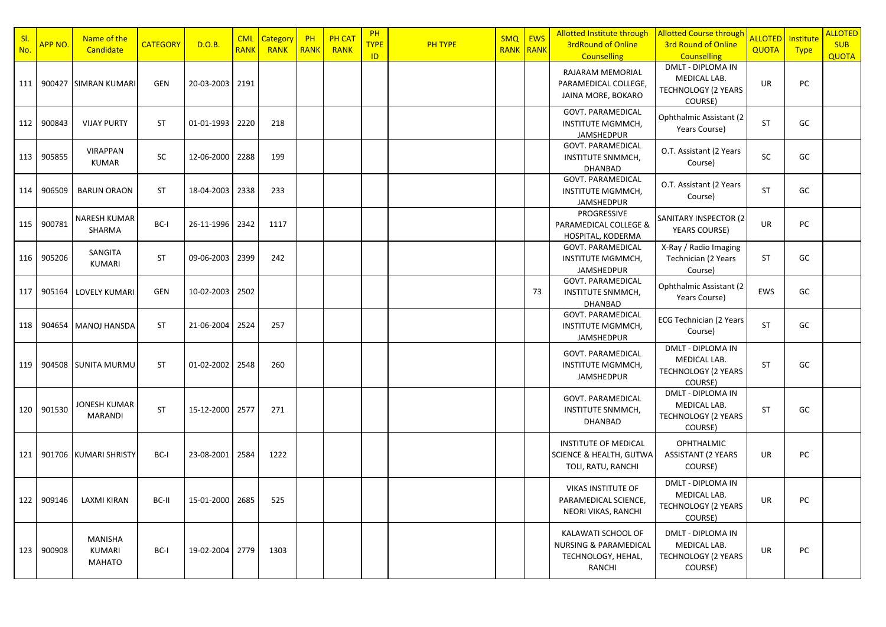| SI.<br>No. | APP NO. | Name of the<br>Candidate                  | <b>CATEGORY</b> | D.O.B.                  | <b>CML</b><br><b>RANK</b> | Category<br><b>RANK</b> | PH<br><b>RANK</b> | <b>PH CAT</b><br><b>RANK</b> | PH<br><b>TYPE</b> | <b>PH TYPE</b> | SMQ   EWS | <b>RANK RANK</b> | <b>Allotted Institute through</b><br><b>3rdRound of Online</b>                         | <b>Allotted Course through</b><br>3rd Round of Online                                                   | <b>ALLOTED</b><br><b>QUOTA</b> | Institute<br><b>Type</b> | <b>ALLOTED</b><br><b>SUB</b> |
|------------|---------|-------------------------------------------|-----------------|-------------------------|---------------------------|-------------------------|-------------------|------------------------------|-------------------|----------------|-----------|------------------|----------------------------------------------------------------------------------------|---------------------------------------------------------------------------------------------------------|--------------------------------|--------------------------|------------------------------|
| 111        |         | 900427 SIMRAN KUMARI                      | <b>GEN</b>      | 20-03-2003 2191         |                           |                         |                   |                              | ID                |                |           |                  | <b>Counselling</b><br>RAJARAM MEMORIAL<br>PARAMEDICAL COLLEGE,<br>JAINA MORE, BOKARO   | <b>Counselling</b><br><b>DMLT - DIPLOMA IN</b><br>MEDICAL LAB.<br><b>TECHNOLOGY (2 YEARS</b><br>COURSE) | <b>UR</b>                      | PC                       | <b>QUOTA</b>                 |
| 112        | 900843  | <b>VIJAY PURTY</b>                        | <b>ST</b>       | 01-01-1993 2220         |                           | 218                     |                   |                              |                   |                |           |                  | <b>GOVT. PARAMEDICAL</b><br>INSTITUTE MGMMCH,<br>JAMSHEDPUR                            | <b>Ophthalmic Assistant (2)</b><br>Years Course)                                                        | <b>ST</b>                      | GC                       |                              |
| 113        | 905855  | <b>VIRAPPAN</b><br><b>KUMAR</b>           | SC              | 12-06-2000              | 2288                      | 199                     |                   |                              |                   |                |           |                  | <b>GOVT. PARAMEDICAL</b><br>INSTITUTE SNMMCH,<br>DHANBAD                               | O.T. Assistant (2 Years<br>Course)                                                                      | SC                             | GC                       |                              |
| 114        | 906509  | <b>BARUN ORAON</b>                        | <b>ST</b>       | 18-04-2003              | 2338                      | 233                     |                   |                              |                   |                |           |                  | GOVT. PARAMEDICAL<br>INSTITUTE MGMMCH,<br><b>JAMSHEDPUR</b>                            | O.T. Assistant (2 Years<br>Course)                                                                      | <b>ST</b>                      | GC                       |                              |
| 115        | 900781  | NARESH KUMAR<br>SHARMA                    | BC-I            | 26-11-1996 2342         |                           | 1117                    |                   |                              |                   |                |           |                  | PROGRESSIVE<br>PARAMEDICAL COLLEGE &<br>HOSPITAL, KODERMA                              | SANITARY INSPECTOR (2<br><b>YEARS COURSE)</b>                                                           | <b>UR</b>                      | PC                       |                              |
| 116        | 905206  | SANGITA<br>KUMARI                         | <b>ST</b>       | 09-06-2003              | 2399                      | 242                     |                   |                              |                   |                |           |                  | <b>GOVT. PARAMEDICAL</b><br>INSTITUTE MGMMCH,<br>JAMSHEDPUR                            | X-Ray / Radio Imaging<br>Technician (2 Years<br>Course)                                                 | <b>ST</b>                      | GC                       |                              |
| 117        |         | 905164   LOVELY KUMARI                    | <b>GEN</b>      | 10-02-2003   2502       |                           |                         |                   |                              |                   |                |           | 73               | <b>GOVT. PARAMEDICAL</b><br>INSTITUTE SNMMCH,<br><b>DHANBAD</b>                        | Ophthalmic Assistant (2<br>Years Course)                                                                | EWS                            | GC                       |                              |
| 118        |         | 904654   MANOJ HANSDA                     | <b>ST</b>       | 21-06-2004              | 2524                      | 257                     |                   |                              |                   |                |           |                  | GOVT. PARAMEDICAL<br>INSTITUTE MGMMCH,<br><b>JAMSHEDPUR</b>                            | <b>ECG Technician (2 Years</b><br>Course)                                                               | <b>ST</b>                      | GC                       |                              |
| 119        |         | 904508 SUNITA MURMU                       | <b>ST</b>       | $01 - 02 - 2002$   2548 |                           | 260                     |                   |                              |                   |                |           |                  | <b>GOVT. PARAMEDICAL</b><br>INSTITUTE MGMMCH,<br>JAMSHEDPUR                            | <b>DMLT - DIPLOMA IN</b><br>MEDICAL LAB.<br><b>TECHNOLOGY (2 YEARS</b><br>COURSE)                       | <b>ST</b>                      | GC                       |                              |
| 120        | 901530  | JONESH KUMAR<br><b>MARANDI</b>            | <b>ST</b>       | 15-12-2000 2577         |                           | 271                     |                   |                              |                   |                |           |                  | <b>GOVT. PARAMEDICAL</b><br>INSTITUTE SNMMCH,<br><b>DHANBAD</b>                        | <b>DMLT - DIPLOMA IN</b><br>MEDICAL LAB.<br><b>TECHNOLOGY (2 YEARS</b><br>COURSE)                       | <b>ST</b>                      | GC                       |                              |
| 121        |         | 901706 KUMARI SHRISTY                     | BC-I            | 23-08-2001   2584       |                           | 1222                    |                   |                              |                   |                |           |                  | <b>INSTITUTE OF MEDICAL</b><br>SCIENCE & HEALTH, GUTWA<br>TOLI, RATU, RANCHI           | <b>OPHTHALMIC</b><br><b>ASSISTANT (2 YEARS</b><br>COURSE)                                               | <b>UR</b>                      | PC                       |                              |
| 122        | 909146  | LAXMI KIRAN                               | BC-II           | 15-01-2000              | 2685                      | 525                     |                   |                              |                   |                |           |                  | <b>VIKAS INSTITUTE OF</b><br>PARAMEDICAL SCIENCE,<br>NEORI VIKAS, RANCHI               | <b>DMLT - DIPLOMA IN</b><br>MEDICAL LAB.<br><b>TECHNOLOGY (2 YEARS</b><br>COURSE)                       | <b>UR</b>                      | PC                       |                              |
| 123        | 900908  | <b>MANISHA</b><br>KUMARI<br><b>MAHATO</b> | BC-I            | 19-02-2004 2779         |                           | 1303                    |                   |                              |                   |                |           |                  | KALAWATI SCHOOL OF<br><b>NURSING &amp; PARAMEDICAL</b><br>TECHNOLOGY, HEHAL,<br>RANCHI | <b>DMLT - DIPLOMA IN</b><br>MEDICAL LAB.<br><b>TECHNOLOGY (2 YEARS</b><br>COURSE)                       | <b>UR</b>                      | PC                       |                              |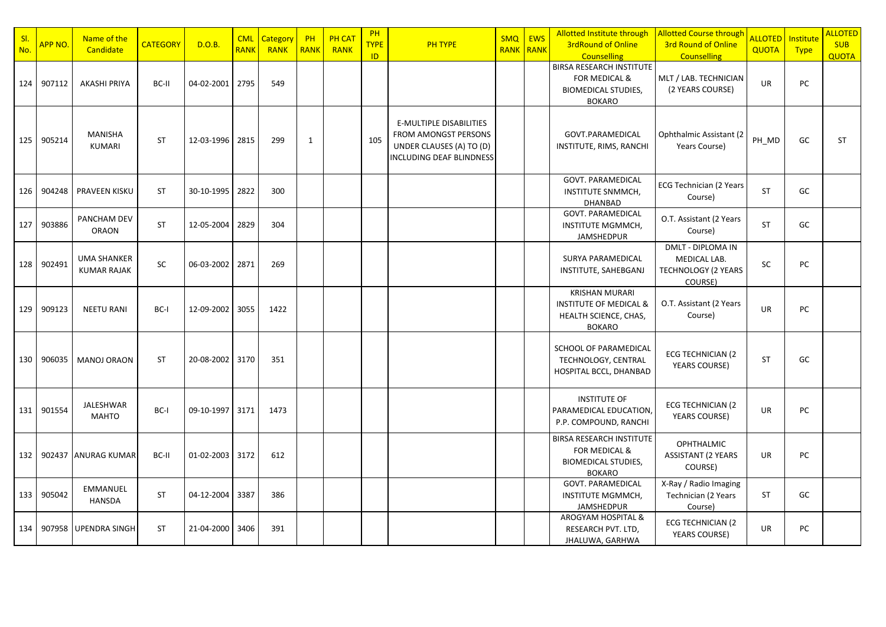| SI.<br>No. | APP NO.    | Name of the<br>Candidate                 | <b>CATEGORY</b> | D.O.B.          | <b>CML</b><br><b>RANK</b> | Category<br><b>RANK</b> | PH<br><b>RANK</b> | <b>PH CAT</b><br><b>RANK</b> | PH<br><b>TYPE</b><br>ID | <b>PH TYPE</b>                                                                                                 | <b>SMQ</b><br>RANK RANK | <b>EWS</b> | Allotted Institute through<br><b>3rdRound of Online</b><br><b>Counselling</b>                              | <b>Allotted Course through</b><br><b>3rd Round of Online</b><br><b>Counselling</b> | <mark>ALLOTED</mark><br><b>QUOTA</b> | Institute<br><b>Type</b> | <b>ALLOTED</b><br><b>SUB</b><br><b>QUOTA</b> |
|------------|------------|------------------------------------------|-----------------|-----------------|---------------------------|-------------------------|-------------------|------------------------------|-------------------------|----------------------------------------------------------------------------------------------------------------|-------------------------|------------|------------------------------------------------------------------------------------------------------------|------------------------------------------------------------------------------------|--------------------------------------|--------------------------|----------------------------------------------|
|            | 124 907112 | <b>AKASHI PRIYA</b>                      | BC-II           | 04-02-2001      | 2795                      | 549                     |                   |                              |                         |                                                                                                                |                         |            | <b>BIRSA RESEARCH INSTITUTE</b><br><b>FOR MEDICAL &amp;</b><br><b>BIOMEDICAL STUDIES,</b><br><b>BOKARO</b> | MLT / LAB. TECHNICIAN<br>(2 YEARS COURSE)                                          | UR                                   | <b>PC</b>                |                                              |
| 125        | 905214     | <b>MANISHA</b><br><b>KUMARI</b>          | <b>ST</b>       | 12-03-1996 2815 |                           | 299                     | $\mathbf{1}$      |                              | 105                     | <b>E-MULTIPLE DISABILITIES</b><br>FROM AMONGST PERSONS<br>UNDER CLAUSES (A) TO (D)<br>INCLUDING DEAF BLINDNESS |                         |            | GOVT.PARAMEDICAL<br>INSTITUTE, RIMS, RANCHI                                                                | Ophthalmic Assistant (2<br>Years Course)                                           | PH_MD                                | GC                       | <b>ST</b>                                    |
| 126        | 904248     | PRAVEEN KISKU                            | <b>ST</b>       | 30-10-1995      | 2822                      | 300                     |                   |                              |                         |                                                                                                                |                         |            | <b>GOVT. PARAMEDICAL</b><br><b>INSTITUTE SNMMCH,</b><br><b>DHANBAD</b>                                     | <b>ECG Technician (2 Years</b><br>Course)                                          | <b>ST</b>                            | GC                       |                                              |
| 127        | 903886     | PANCHAM DEV<br><b>ORAON</b>              | <b>ST</b>       | 12-05-2004      | 2829                      | 304                     |                   |                              |                         |                                                                                                                |                         |            | <b>GOVT. PARAMEDICAL</b><br>INSTITUTE MGMMCH,<br>JAMSHEDPUR                                                | O.T. Assistant (2 Years<br>Course)                                                 | <b>ST</b>                            | GC                       |                                              |
| 128        | 902491     | <b>UMA SHANKER</b><br><b>KUMAR RAJAK</b> | SC              | 06-03-2002      | 2871                      | 269                     |                   |                              |                         |                                                                                                                |                         |            | SURYA PARAMEDICAL<br>INSTITUTE, SAHEBGANJ                                                                  | <b>DMLT - DIPLOMA IN</b><br>MEDICAL LAB.<br><b>TECHNOLOGY (2 YEARS</b><br>COURSE)  | <b>SC</b>                            | PC                       |                                              |
| 129        | 909123     | <b>NEETU RANI</b>                        | BC-I            | 12-09-2002      | 3055                      | 1422                    |                   |                              |                         |                                                                                                                |                         |            | <b>KRISHAN MURARI</b><br><b>INSTITUTE OF MEDICAL &amp;</b><br>HEALTH SCIENCE, CHAS,<br><b>BOKARO</b>       | O.T. Assistant (2 Years<br>Course)                                                 | <b>UR</b>                            | PC                       |                                              |
| 130        | 906035     | <b>MANOJ ORAON</b>                       | <b>ST</b>       | 20-08-2002 3170 |                           | 351                     |                   |                              |                         |                                                                                                                |                         |            | SCHOOL OF PARAMEDICAL<br>TECHNOLOGY, CENTRAL<br>HOSPITAL BCCL, DHANBAD                                     | <b>ECG TECHNICIAN (2)</b><br><b>YEARS COURSE)</b>                                  | <b>ST</b>                            | GC                       |                                              |
|            | 131 901554 | <b>JALESHWAR</b><br>MAHTO                | BC-I            | 09-10-1997 3171 |                           | 1473                    |                   |                              |                         |                                                                                                                |                         |            | <b>INSTITUTE OF</b><br>PARAMEDICAL EDUCATION,<br>P.P. COMPOUND, RANCHI                                     | <b>ECG TECHNICIAN (2</b><br><b>YEARS COURSE)</b>                                   | UR                                   | PC                       |                                              |
| 132        |            | 902437 ANURAG KUMAR                      | BC-II           | 01-02-2003      | 3172                      | 612                     |                   |                              |                         |                                                                                                                |                         |            | <b>BIRSA RESEARCH INSTITUTE</b><br><b>FOR MEDICAL &amp;</b><br><b>BIOMEDICAL STUDIES,</b><br><b>BOKARO</b> | <b>OPHTHALMIC</b><br><b>ASSISTANT (2 YEARS</b><br>COURSE)                          | UR                                   | PC                       |                                              |
| 133        | 905042     | <b>EMMANUEL</b><br><b>HANSDA</b>         | <b>ST</b>       | 04-12-2004      | 3387                      | 386                     |                   |                              |                         |                                                                                                                |                         |            | GOVT. PARAMEDICAL<br><b>INSTITUTE MGMMCH,</b><br>JAMSHEDPUR                                                | X-Ray / Radio Imaging<br>Technician (2 Years<br>Course)                            | <b>ST</b>                            | GC                       |                                              |
| 134        |            | 907958 UPENDRA SINGH                     | <b>ST</b>       | 21-04-2000      | 3406                      | 391                     |                   |                              |                         |                                                                                                                |                         |            | <b>AROGYAM HOSPITAL &amp;</b><br>RESEARCH PVT. LTD,<br>JHALUWA, GARHWA                                     | <b>ECG TECHNICIAN (2</b><br><b>YEARS COURSE)</b>                                   | <b>UR</b>                            | PC                       |                                              |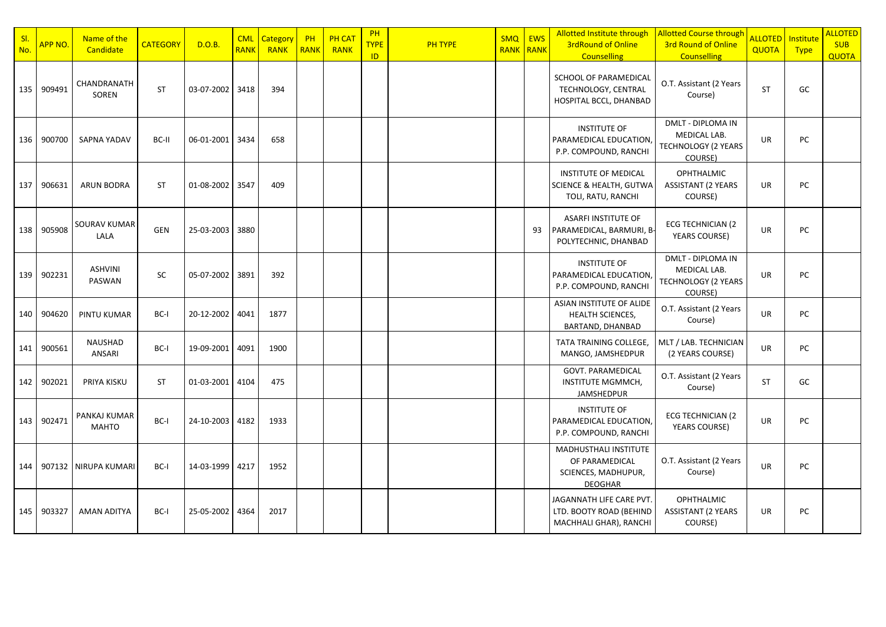| S <sub>l</sub><br>No. | <b>APP NO.</b> | Name of the<br>Candidate     | <b>CATEGORY</b> | D.O.B.          | <b>CML</b><br><b>RANK</b> | Category<br>RANK | PH<br>RANK | <b>PH CAT</b><br>RANK | <b>PH</b><br><b>TYPE</b><br>ID | <b>PH TYPE</b> | <b>SMQ</b><br><b>RANK RANK</b> | <b>EWS</b> | <b>Allotted Institute through</b><br><b>3rdRound of Online</b><br><b>Counselling</b> | <b>Allotted Course through</b><br><b>3rd Round of Online</b><br><b>Counselling</b> | <b>ALLOTED</b><br>QUOTA | Institute<br><b>Type</b> | <b>ALLOTED</b><br><b>SUB</b><br><b>QUOTA</b> |
|-----------------------|----------------|------------------------------|-----------------|-----------------|---------------------------|------------------|------------|-----------------------|--------------------------------|----------------|--------------------------------|------------|--------------------------------------------------------------------------------------|------------------------------------------------------------------------------------|-------------------------|--------------------------|----------------------------------------------|
| 135                   | 909491         | CHANDRANATH<br>SOREN         | <b>ST</b>       | 03-07-2002      | 3418                      | 394              |            |                       |                                |                |                                |            | SCHOOL OF PARAMEDICAL<br>TECHNOLOGY, CENTRAL<br>HOSPITAL BCCL, DHANBAD               | O.T. Assistant (2 Years<br>Course)                                                 | <b>ST</b>               | GC                       |                                              |
| 136                   | 900700         | SAPNA YADAV                  | BC-II           | 06-01-2001      | 3434                      | 658              |            |                       |                                |                |                                |            | <b>INSTITUTE OF</b><br>PARAMEDICAL EDUCATION,<br>P.P. COMPOUND, RANCHI               | DMLT - DIPLOMA IN<br>MEDICAL LAB.<br><b>TECHNOLOGY (2 YEARS</b><br>COURSE)         | <b>UR</b>               | PC                       |                                              |
| 137                   | 906631         | <b>ARUN BODRA</b>            | <b>ST</b>       | 01-08-2002 3547 |                           | 409              |            |                       |                                |                |                                |            | <b>INSTITUTE OF MEDICAL</b><br>SCIENCE & HEALTH, GUTWA<br>TOLI, RATU, RANCHI         | <b>OPHTHALMIC</b><br><b>ASSISTANT (2 YEARS</b><br>COURSE)                          | <b>UR</b>               | PC                       |                                              |
| 138                   | 905908         | SOURAV KUMAR<br>LALA         | <b>GEN</b>      | 25-03-2003 3880 |                           |                  |            |                       |                                |                |                                | 93         | ASARFI INSTITUTE OF<br>PARAMEDICAL, BARMURI, B-<br>POLYTECHNIC, DHANBAD              | ECG TECHNICIAN (2<br>YEARS COURSE)                                                 | <b>UR</b>               | PC                       |                                              |
| 139                   | 902231         | <b>ASHVINI</b><br>PASWAN     | <b>SC</b>       | 05-07-2002      | 3891                      | 392              |            |                       |                                |                |                                |            | <b>INSTITUTE OF</b><br>PARAMEDICAL EDUCATION,<br>P.P. COMPOUND, RANCHI               | DMLT - DIPLOMA IN<br>MEDICAL LAB.<br>TECHNOLOGY (2 YEARS<br>COURSE)                | UR                      | PC                       |                                              |
| 140                   | 904620         | PINTU KUMAR                  | BC-I            | 20-12-2002      | 4041                      | 1877             |            |                       |                                |                |                                |            | ASIAN INSTITUTE OF ALIDE<br><b>HEALTH SCIENCES,</b><br>BARTAND, DHANBAD              | O.T. Assistant (2 Years<br>Course)                                                 | UR                      | PC                       |                                              |
| 141                   | 900561         | NAUSHAD<br>ANSARI            | BC-I            | 19-09-2001      | 4091                      | 1900             |            |                       |                                |                |                                |            | TATA TRAINING COLLEGE,<br>MANGO, JAMSHEDPUR                                          | MLT / LAB. TECHNICIAN<br>(2 YEARS COURSE)                                          | UR                      | PC                       |                                              |
| 142                   | 902021         | PRIYA KISKU                  | <b>ST</b>       | 01-03-2001      | 4104                      | 475              |            |                       |                                |                |                                |            | GOVT. PARAMEDICAL<br>INSTITUTE MGMMCH,<br><b>JAMSHEDPUR</b>                          | O.T. Assistant (2 Years<br>Course)                                                 | <b>ST</b>               | GC                       |                                              |
| 143                   | 902471         | PANKAJ KUMAR<br><b>MAHTO</b> | BC-I            | 24-10-2003      | 4182                      | 1933             |            |                       |                                |                |                                |            | <b>INSTITUTE OF</b><br>PARAMEDICAL EDUCATION,<br>P.P. COMPOUND, RANCHI               | <b>ECG TECHNICIAN (2)</b><br>YEARS COURSE)                                         | <b>UR</b>               | PC                       |                                              |
| 144                   |                | 907132 NIRUPA KUMARI         | BC-I            | 14-03-1999      | 4217                      | 1952             |            |                       |                                |                |                                |            | MADHUSTHALI INSTITUTE<br>OF PARAMEDICAL<br>SCIENCES, MADHUPUR,<br><b>DEOGHAR</b>     | O.T. Assistant (2 Years<br>Course)                                                 | UR                      | PC                       |                                              |
| 145                   | 903327         | <b>AMAN ADITYA</b>           | BC-I            | 25-05-2002      | 4364                      | 2017             |            |                       |                                |                |                                |            | JAGANNATH LIFE CARE PVT.<br>LTD. BOOTY ROAD (BEHIND<br>MACHHALI GHAR), RANCHI        | <b>OPHTHALMIC</b><br><b>ASSISTANT (2 YEARS</b><br>COURSE)                          | <b>UR</b>               | PC                       |                                              |